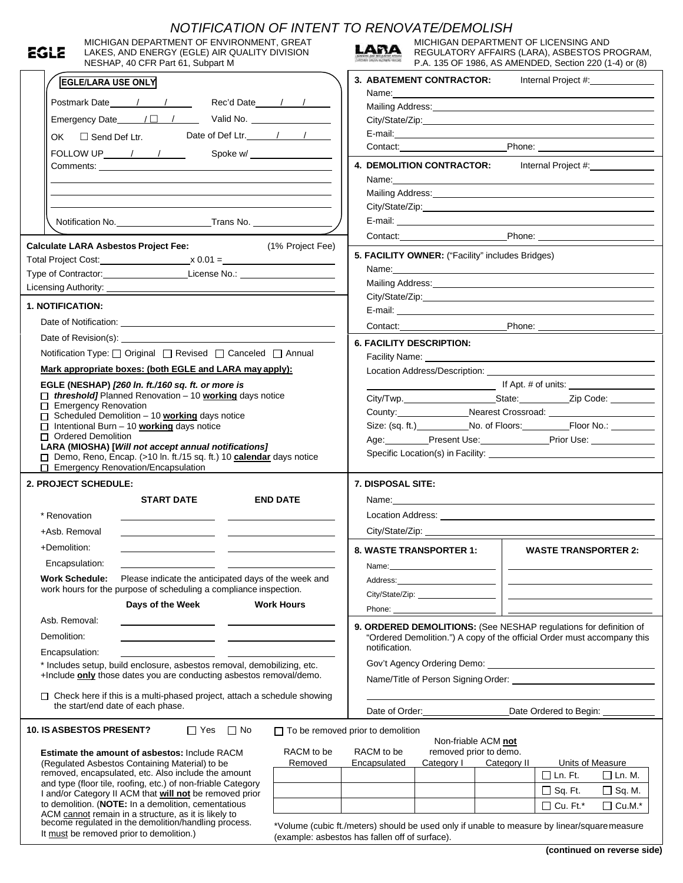|      | NOTIFICATION OF INTENT TO RENOVATE/DEMOLISH                                                                                                                                                                                         |                                                                                                                 |                                                                                                                                                                                                                               |                                                 |             |                                                                                                                                                                                                                                      |  |  |  |
|------|-------------------------------------------------------------------------------------------------------------------------------------------------------------------------------------------------------------------------------------|-----------------------------------------------------------------------------------------------------------------|-------------------------------------------------------------------------------------------------------------------------------------------------------------------------------------------------------------------------------|-------------------------------------------------|-------------|--------------------------------------------------------------------------------------------------------------------------------------------------------------------------------------------------------------------------------------|--|--|--|
| egle | MICHIGAN DEPARTMENT OF ENVIRONMENT, GREAT<br>LAKES, AND ENERGY (EGLE) AIR QUALITY DIVISION                                                                                                                                          |                                                                                                                 | LARA                                                                                                                                                                                                                          | MICHIGAN DEPARTMENT OF LICENSING AND            |             | REGULATORY AFFAIRS (LARA), ASBESTOS PROGRAM,                                                                                                                                                                                         |  |  |  |
|      | NESHAP, 40 CFR Part 61, Subpart M                                                                                                                                                                                                   |                                                                                                                 |                                                                                                                                                                                                                               |                                                 |             | P.A. 135 OF 1986, AS AMENDED, Section 220 (1-4) or (8)                                                                                                                                                                               |  |  |  |
|      | <b>EGLE/LARA USE ONLY</b>                                                                                                                                                                                                           |                                                                                                                 |                                                                                                                                                                                                                               | 3. ABATEMENT CONTRACTOR:<br>Internal Project #: |             |                                                                                                                                                                                                                                      |  |  |  |
|      | Postmark Date 1 1 1 Rec'd Date 1 1                                                                                                                                                                                                  | Mailing Address: Mailing Address: Mail and Mailing Address: Mail and Mail and Mail and Mail and Mail and Mail   |                                                                                                                                                                                                                               |                                                 |             |                                                                                                                                                                                                                                      |  |  |  |
|      |                                                                                                                                                                                                                                     |                                                                                                                 |                                                                                                                                                                                                                               |                                                 |             |                                                                                                                                                                                                                                      |  |  |  |
|      | OK □ Send Def Ltr. Date of Def Ltr. 1 1                                                                                                                                                                                             |                                                                                                                 |                                                                                                                                                                                                                               |                                                 |             |                                                                                                                                                                                                                                      |  |  |  |
|      |                                                                                                                                                                                                                                     |                                                                                                                 |                                                                                                                                                                                                                               |                                                 |             |                                                                                                                                                                                                                                      |  |  |  |
|      | FOLLOW UP $\frac{1}{\sqrt{2}}$                                                                                                                                                                                                      | Spoke w/                                                                                                        |                                                                                                                                                                                                                               |                                                 |             |                                                                                                                                                                                                                                      |  |  |  |
|      |                                                                                                                                                                                                                                     |                                                                                                                 | Name: Name: Name: Name: Name: Name: Name: Name: Name: Name: Name: Name: Name: Name: Name: Name: Name: Name: Name: Name: Name: Name: Name: Name: Name: Name: Name: Name: Name: Name: Name: Name: Name: Name: Name: Name: Name: |                                                 |             |                                                                                                                                                                                                                                      |  |  |  |
|      |                                                                                                                                                                                                                                     |                                                                                                                 |                                                                                                                                                                                                                               |                                                 |             |                                                                                                                                                                                                                                      |  |  |  |
|      |                                                                                                                                                                                                                                     | Mailing Address: Mailing Address: Mailing Address: Mailing Address: Mailing Address: Mailing Address: Mailing A |                                                                                                                                                                                                                               |                                                 |             |                                                                                                                                                                                                                                      |  |  |  |
|      |                                                                                                                                                                                                                                     |                                                                                                                 |                                                                                                                                                                                                                               |                                                 |             |                                                                                                                                                                                                                                      |  |  |  |
|      |                                                                                                                                                                                                                                     |                                                                                                                 |                                                                                                                                                                                                                               |                                                 |             | Contact: Phone: Phone:                                                                                                                                                                                                               |  |  |  |
|      | <b>Calculate LARA Asbestos Project Fee:</b>                                                                                                                                                                                         | (1% Project Fee)                                                                                                |                                                                                                                                                                                                                               |                                                 |             |                                                                                                                                                                                                                                      |  |  |  |
|      |                                                                                                                                                                                                                                     |                                                                                                                 | 5. FACILITY OWNER: ("Facility" includes Bridges)                                                                                                                                                                              |                                                 |             |                                                                                                                                                                                                                                      |  |  |  |
|      | Type of Contractor: License No.: 1999                                                                                                                                                                                               |                                                                                                                 |                                                                                                                                                                                                                               |                                                 |             |                                                                                                                                                                                                                                      |  |  |  |
|      | Licensing Authority: <u>Authority:</u> Authority: Authority: Authority: Authority: Authority: Authority: Authority: Authority: Authority: Authority: Authority: Authority: Authority: Authority: Authority: Authority: Authority: A |                                                                                                                 |                                                                                                                                                                                                                               |                                                 |             |                                                                                                                                                                                                                                      |  |  |  |
|      | <b>1. NOTIFICATION:</b>                                                                                                                                                                                                             |                                                                                                                 |                                                                                                                                                                                                                               |                                                 |             |                                                                                                                                                                                                                                      |  |  |  |
|      |                                                                                                                                                                                                                                     |                                                                                                                 |                                                                                                                                                                                                                               |                                                 |             | Phone:                                                                                                                                                                                                                               |  |  |  |
|      |                                                                                                                                                                                                                                     |                                                                                                                 | <b>6. FACILITY DESCRIPTION:</b>                                                                                                                                                                                               |                                                 |             |                                                                                                                                                                                                                                      |  |  |  |
|      | Notification Type: Original O Revised O Canceled O Annual                                                                                                                                                                           |                                                                                                                 |                                                                                                                                                                                                                               |                                                 |             |                                                                                                                                                                                                                                      |  |  |  |
|      | <u>Mark appropriate boxes: (both EGLE and LARA may apply):</u>                                                                                                                                                                      |                                                                                                                 |                                                                                                                                                                                                                               | Facility Name: Value of Tacility Name:          |             | <b>Location Address/Description:</b> Note that the set of the set of the set of the set of the set of the set of the set of the set of the set of the set of the set of the set of the set of the set of the set of the set of the   |  |  |  |
|      | EGLE (NESHAP) [260 In. ft./160 sq. ft. or more is                                                                                                                                                                                   |                                                                                                                 |                                                                                                                                                                                                                               |                                                 |             | If Apt. # of units:                                                                                                                                                                                                                  |  |  |  |
|      | $\Box$ threshold] Planned Renovation - 10 working days notice                                                                                                                                                                       |                                                                                                                 |                                                                                                                                                                                                                               |                                                 |             |                                                                                                                                                                                                                                      |  |  |  |
|      | □ Emergency Renovation                                                                                                                                                                                                              |                                                                                                                 |                                                                                                                                                                                                                               |                                                 |             | County: Nearest Crossroad: Nearest Crossroad:                                                                                                                                                                                        |  |  |  |
|      | □ Scheduled Demolition - 10 working days notice<br>Intentional Burn - 10 <b>working</b> days notice                                                                                                                                 |                                                                                                                 |                                                                                                                                                                                                                               |                                                 |             |                                                                                                                                                                                                                                      |  |  |  |
|      | □ Ordered Demolition                                                                                                                                                                                                                | Age: Present Use: Proventy Prior Use:                                                                           |                                                                                                                                                                                                                               |                                                 |             |                                                                                                                                                                                                                                      |  |  |  |
|      |                                                                                                                                                                                                                                     |                                                                                                                 |                                                                                                                                                                                                                               |                                                 |             |                                                                                                                                                                                                                                      |  |  |  |
|      | LARA (MIOSHA) [Will not accept annual notifications]                                                                                                                                                                                |                                                                                                                 |                                                                                                                                                                                                                               |                                                 |             |                                                                                                                                                                                                                                      |  |  |  |
|      | Demo, Reno, Encap. (>10 In. ft./15 sq. ft.) 10 calendar days notice<br>$\Box$ Emergency Renovation/Encapsulation                                                                                                                    |                                                                                                                 |                                                                                                                                                                                                                               |                                                 |             |                                                                                                                                                                                                                                      |  |  |  |
|      | 2. PROJECT SCHEDULE:                                                                                                                                                                                                                |                                                                                                                 | <b>7. DISPOSAL SITE:</b>                                                                                                                                                                                                      |                                                 |             |                                                                                                                                                                                                                                      |  |  |  |
|      |                                                                                                                                                                                                                                     |                                                                                                                 |                                                                                                                                                                                                                               |                                                 |             |                                                                                                                                                                                                                                      |  |  |  |
|      | <b>START DATE</b>                                                                                                                                                                                                                   | <b>END DATE</b>                                                                                                 |                                                                                                                                                                                                                               |                                                 |             |                                                                                                                                                                                                                                      |  |  |  |
|      | * Renovation                                                                                                                                                                                                                        |                                                                                                                 | Location Address:                                                                                                                                                                                                             |                                                 |             |                                                                                                                                                                                                                                      |  |  |  |
|      | +Asb. Removal                                                                                                                                                                                                                       |                                                                                                                 |                                                                                                                                                                                                                               |                                                 |             |                                                                                                                                                                                                                                      |  |  |  |
|      | +Demolition:                                                                                                                                                                                                                        |                                                                                                                 |                                                                                                                                                                                                                               | <b>8. WASTE TRANSPORTER 1:</b>                  |             | <b>WASTE TRANSPORTER 2:</b>                                                                                                                                                                                                          |  |  |  |
|      | Encapsulation:<br><u> 1980 - Johann John Stone, mars et al. (</u>                                                                                                                                                                   |                                                                                                                 |                                                                                                                                                                                                                               |                                                 |             | <u> 1989 - Johann Harry Harry Harry Harry Harry Harry Harry Harry Harry Harry Harry Harry Harry Harry Harry Harry Harry Harry Harry Harry Harry Harry Harry Harry Harry Harry Harry Harry Harry Harry Harry Harry Harry Harry Ha</u> |  |  |  |
|      | Please indicate the anticipated days of the week and<br><b>Work Schedule:</b>                                                                                                                                                       |                                                                                                                 |                                                                                                                                                                                                                               |                                                 |             | <u> 1989 - Johann Harrison, fransk politik (</u>                                                                                                                                                                                     |  |  |  |
|      | work hours for the purpose of scheduling a compliance inspection.                                                                                                                                                                   |                                                                                                                 |                                                                                                                                                                                                                               |                                                 |             |                                                                                                                                                                                                                                      |  |  |  |
|      | Days of the Week                                                                                                                                                                                                                    | <b>Work Hours</b>                                                                                               |                                                                                                                                                                                                                               |                                                 |             |                                                                                                                                                                                                                                      |  |  |  |
|      | Asb. Removal:                                                                                                                                                                                                                       |                                                                                                                 |                                                                                                                                                                                                                               |                                                 |             |                                                                                                                                                                                                                                      |  |  |  |
|      | Demolition:                                                                                                                                                                                                                         |                                                                                                                 |                                                                                                                                                                                                                               |                                                 |             | 9. ORDERED DEMOLITIONS: (See NESHAP regulations for definition of<br>"Ordered Demolition.") A copy of the official Order must accompany this                                                                                         |  |  |  |
|      | Encapsulation:                                                                                                                                                                                                                      |                                                                                                                 | notification.                                                                                                                                                                                                                 |                                                 |             |                                                                                                                                                                                                                                      |  |  |  |
|      | * Includes setup, build enclosure, asbestos removal, demobilizing, etc.                                                                                                                                                             |                                                                                                                 |                                                                                                                                                                                                                               |                                                 |             |                                                                                                                                                                                                                                      |  |  |  |
|      | +Include only those dates you are conducting asbestos removal/demo.                                                                                                                                                                 |                                                                                                                 |                                                                                                                                                                                                                               |                                                 |             |                                                                                                                                                                                                                                      |  |  |  |
|      | $\Box$ Check here if this is a multi-phased project, attach a schedule showing                                                                                                                                                      |                                                                                                                 |                                                                                                                                                                                                                               |                                                 |             |                                                                                                                                                                                                                                      |  |  |  |
|      | the start/end date of each phase.                                                                                                                                                                                                   |                                                                                                                 |                                                                                                                                                                                                                               | Date of Order: Note that the state of Order:    |             | Date Ordered to Begin:                                                                                                                                                                                                               |  |  |  |
|      |                                                                                                                                                                                                                                     |                                                                                                                 |                                                                                                                                                                                                                               |                                                 |             |                                                                                                                                                                                                                                      |  |  |  |
|      | <b>10. IS ASBESTOS PRESENT?</b><br>$\Box$ Yes $\Box$ No                                                                                                                                                                             | $\Box$ To be removed prior to demolition                                                                        |                                                                                                                                                                                                                               | Non-friable ACM not                             |             |                                                                                                                                                                                                                                      |  |  |  |
|      | <b>Estimate the amount of asbestos: Include RACM</b>                                                                                                                                                                                | RACM to be                                                                                                      | RACM to be                                                                                                                                                                                                                    | removed prior to demo.                          |             |                                                                                                                                                                                                                                      |  |  |  |
|      | (Regulated Asbestos Containing Material) to be                                                                                                                                                                                      | Removed                                                                                                         | Encapsulated                                                                                                                                                                                                                  | Category I                                      | Category II | Units of Measure                                                                                                                                                                                                                     |  |  |  |
|      | removed, encapsulated, etc. Also include the amount<br>and type (floor tile, roofing, etc.) of non-friable Category                                                                                                                 |                                                                                                                 |                                                                                                                                                                                                                               |                                                 |             | $\Box$ Ln. Ft.<br>$\Box$ Ln. M.                                                                                                                                                                                                      |  |  |  |
|      | I and/or Category II ACM that will not be removed prior                                                                                                                                                                             |                                                                                                                 |                                                                                                                                                                                                                               |                                                 |             | $\Box$ Sq. Ft.<br>$\Box$ Sq. M.                                                                                                                                                                                                      |  |  |  |
|      | to demolition. (NOTE: In a demolition, cementatious                                                                                                                                                                                 |                                                                                                                 |                                                                                                                                                                                                                               |                                                 |             | $\Box$ Cu. Ft.*<br>$\Box$ Cu.M.*                                                                                                                                                                                                     |  |  |  |
|      | ACM cannot remain in a structure, as it is likely to<br>become regulated in the demolition/handling process.<br>It must be removed prior to demolition.)                                                                            |                                                                                                                 |                                                                                                                                                                                                                               |                                                 |             | *Volume (cubic ft./meters) should be used only if unable to measure by linear/squaremeasure                                                                                                                                          |  |  |  |